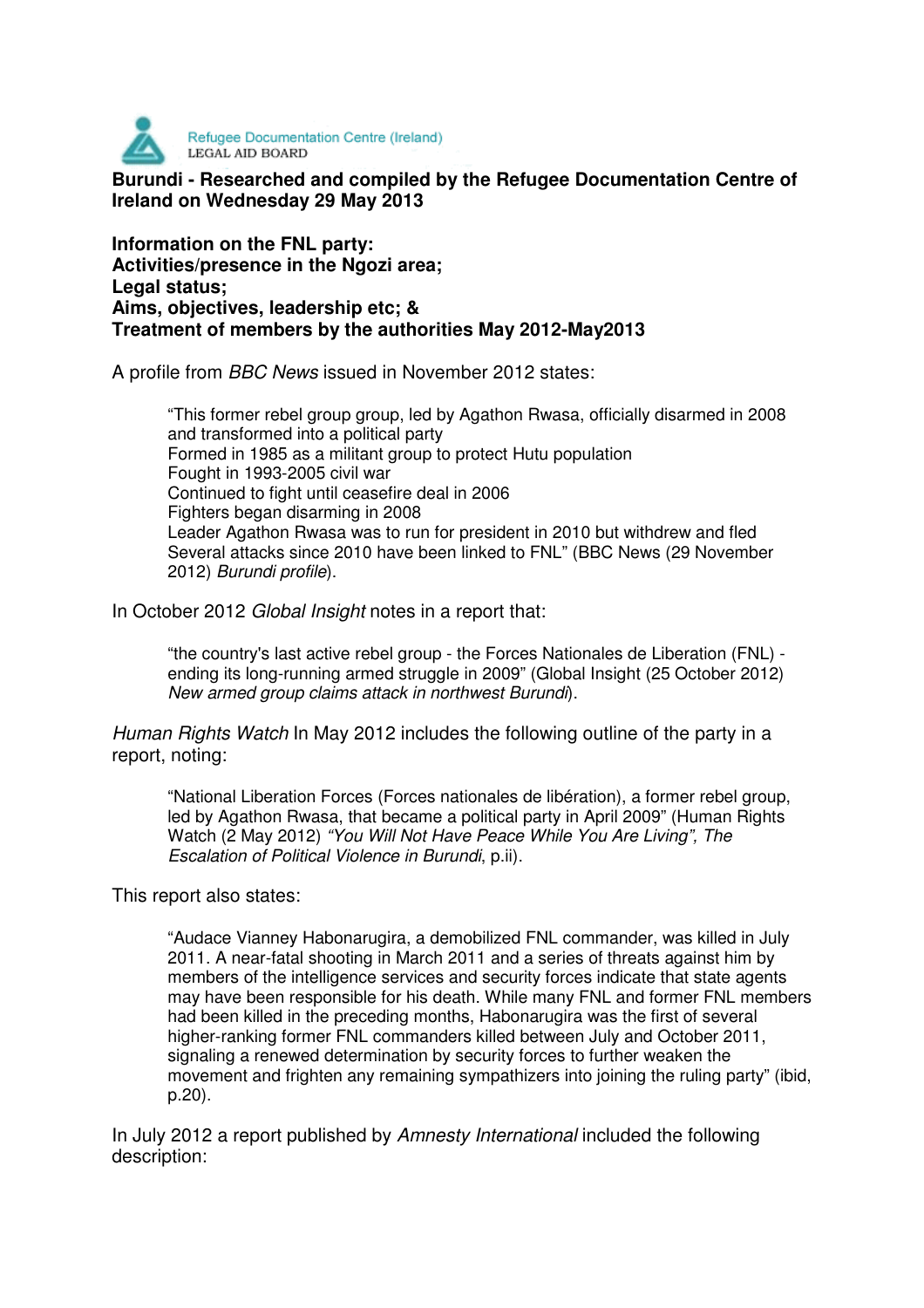

**Burundi - Researched and compiled by the Refugee Documentation Centre of Ireland on Wednesday 29 May 2013** 

**Information on the FNL party: Activities/presence in the Ngozi area; Legal status; Aims, objectives, leadership etc; & Treatment of members by the authorities May 2012-May2013** 

A profile from BBC News issued in November 2012 states:

"This former rebel group group, led by Agathon Rwasa, officially disarmed in 2008 and transformed into a political party Formed in 1985 as a militant group to protect Hutu population Fought in 1993-2005 civil war Continued to fight until ceasefire deal in 2006 Fighters began disarming in 2008 Leader Agathon Rwasa was to run for president in 2010 but withdrew and fled Several attacks since 2010 have been linked to FNL" (BBC News (29 November 2012) Burundi profile).

In October 2012 Global Insight notes in a report that:

"the country's last active rebel group - the Forces Nationales de Liberation (FNL) ending its long-running armed struggle in 2009" (Global Insight (25 October 2012) New armed group claims attack in northwest Burundi).

Human Rights Watch In May 2012 includes the following outline of the party in a report, noting:

"National Liberation Forces (Forces nationales de libération), a former rebel group, led by Agathon Rwasa, that became a political party in April 2009" (Human Rights Watch (2 May 2012) "You Will Not Have Peace While You Are Living", The Escalation of Political Violence in Burundi, p.ii).

This report also states:

"Audace Vianney Habonarugira, a demobilized FNL commander, was killed in July 2011. A near-fatal shooting in March 2011 and a series of threats against him by members of the intelligence services and security forces indicate that state agents may have been responsible for his death. While many FNL and former FNL members had been killed in the preceding months, Habonarugira was the first of several higher-ranking former FNL commanders killed between July and October 2011, signaling a renewed determination by security forces to further weaken the movement and frighten any remaining sympathizers into joining the ruling party" (ibid, p.20).

In July 2012 a report published by Amnesty International included the following description: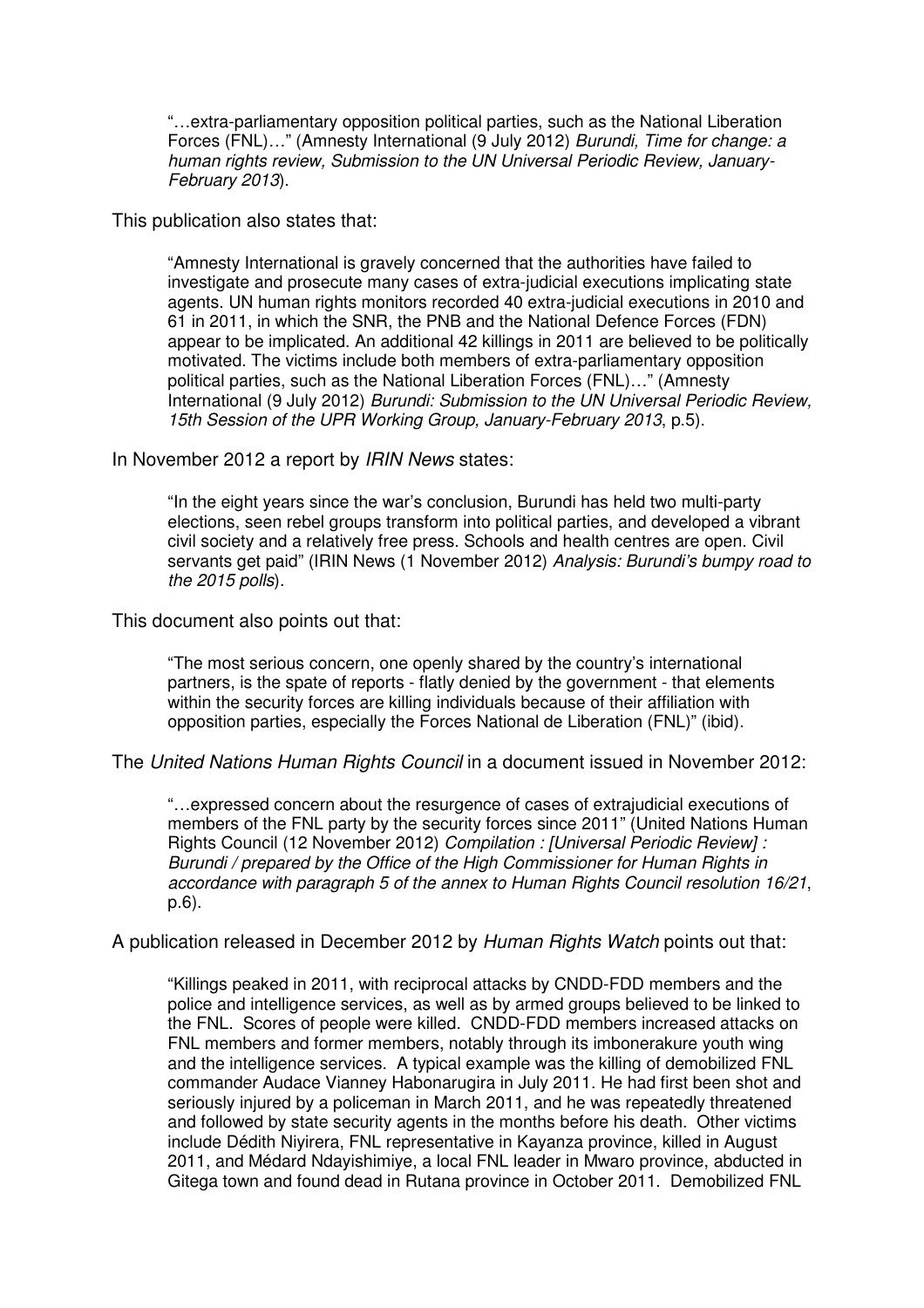"…extra-parliamentary opposition political parties, such as the National Liberation Forces (FNL)…" (Amnesty International (9 July 2012) Burundi, Time for change: a human rights review, Submission to the UN Universal Periodic Review, January-February 2013).

This publication also states that:

"Amnesty International is gravely concerned that the authorities have failed to investigate and prosecute many cases of extra-judicial executions implicating state agents. UN human rights monitors recorded 40 extra-judicial executions in 2010 and 61 in 2011, in which the SNR, the PNB and the National Defence Forces (FDN) appear to be implicated. An additional 42 killings in 2011 are believed to be politically motivated. The victims include both members of extra-parliamentary opposition political parties, such as the National Liberation Forces (FNL)…" (Amnesty International (9 July 2012) Burundi: Submission to the UN Universal Periodic Review, 15th Session of the UPR Working Group, January-February 2013, p.5).

In November 2012 a report by IRIN News states:

"In the eight years since the war's conclusion, Burundi has held two multi-party elections, seen rebel groups transform into political parties, and developed a vibrant civil society and a relatively free press. Schools and health centres are open. Civil servants get paid" (IRIN News (1 November 2012) Analysis: Burundi's bumpy road to the 2015 polls).

This document also points out that:

"The most serious concern, one openly shared by the country's international partners, is the spate of reports - flatly denied by the government - that elements within the security forces are killing individuals because of their affiliation with opposition parties, especially the Forces National de Liberation (FNL)" (ibid).

The United Nations Human Rights Council in a document issued in November 2012:

"…expressed concern about the resurgence of cases of extrajudicial executions of members of the FNL party by the security forces since 2011" (United Nations Human Rights Council (12 November 2012) Compilation : [Universal Periodic Review] : Burundi / prepared by the Office of the High Commissioner for Human Rights in accordance with paragraph 5 of the annex to Human Rights Council resolution 16/21, p.6).

A publication released in December 2012 by Human Rights Watch points out that:

"Killings peaked in 2011, with reciprocal attacks by CNDD-FDD members and the police and intelligence services, as well as by armed groups believed to be linked to the FNL. Scores of people were killed. CNDD-FDD members increased attacks on FNL members and former members, notably through its imbonerakure youth wing and the intelligence services. A typical example was the killing of demobilized FNL commander Audace Vianney Habonarugira in July 2011. He had first been shot and seriously injured by a policeman in March 2011, and he was repeatedly threatened and followed by state security agents in the months before his death. Other victims include Dédith Niyirera, FNL representative in Kayanza province, killed in August 2011, and Médard Ndayishimiye, a local FNL leader in Mwaro province, abducted in Gitega town and found dead in Rutana province in October 2011. Demobilized FNL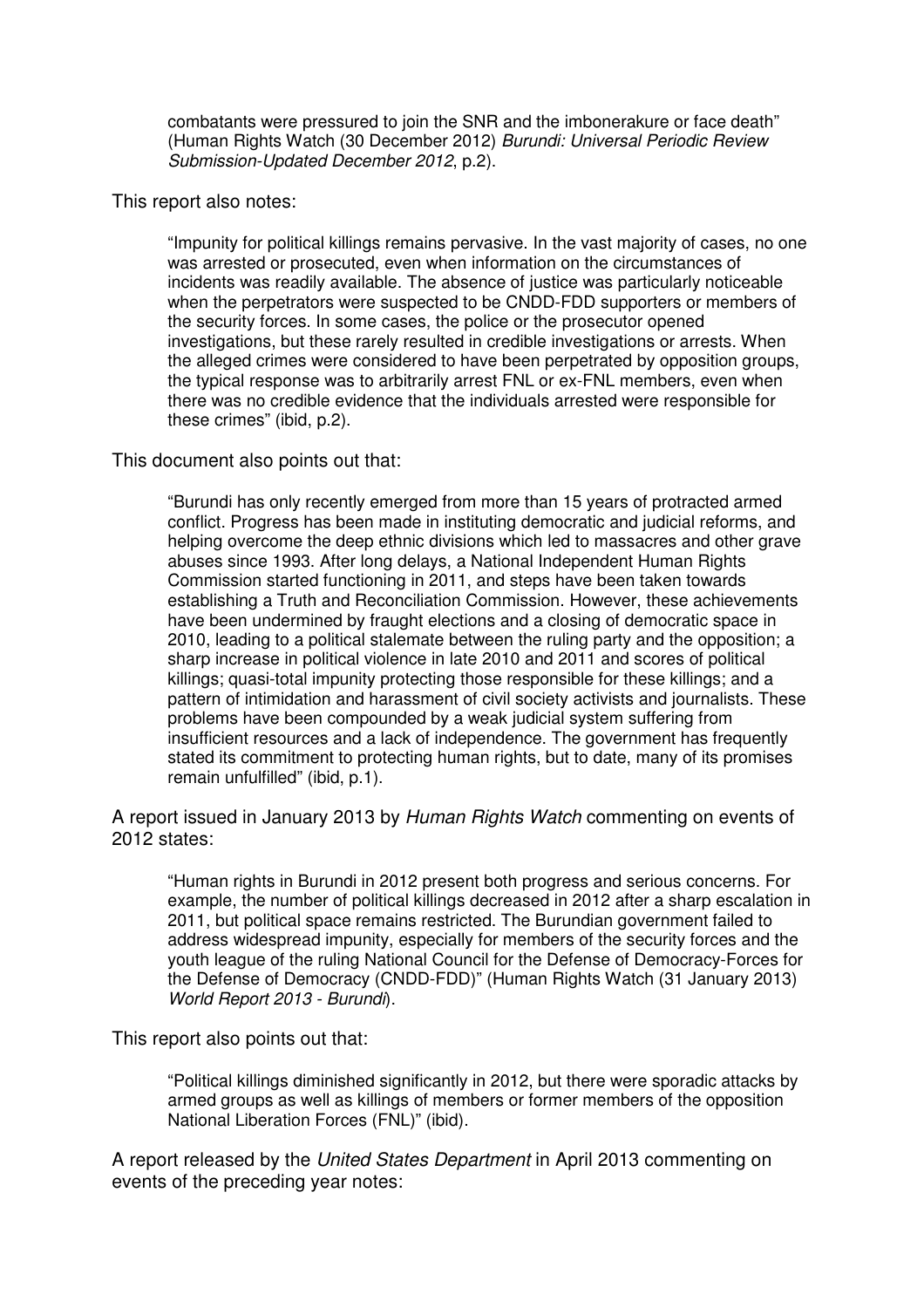combatants were pressured to join the SNR and the imbonerakure or face death" (Human Rights Watch (30 December 2012) Burundi: Universal Periodic Review Submission-Updated December 2012, p.2).

This report also notes:

"Impunity for political killings remains pervasive. In the vast majority of cases, no one was arrested or prosecuted, even when information on the circumstances of incidents was readily available. The absence of justice was particularly noticeable when the perpetrators were suspected to be CNDD-FDD supporters or members of the security forces. In some cases, the police or the prosecutor opened investigations, but these rarely resulted in credible investigations or arrests. When the alleged crimes were considered to have been perpetrated by opposition groups, the typical response was to arbitrarily arrest FNL or ex-FNL members, even when there was no credible evidence that the individuals arrested were responsible for these crimes" (ibid, p.2).

This document also points out that:

"Burundi has only recently emerged from more than 15 years of protracted armed conflict. Progress has been made in instituting democratic and judicial reforms, and helping overcome the deep ethnic divisions which led to massacres and other grave abuses since 1993. After long delays, a National Independent Human Rights Commission started functioning in 2011, and steps have been taken towards establishing a Truth and Reconciliation Commission. However, these achievements have been undermined by fraught elections and a closing of democratic space in 2010, leading to a political stalemate between the ruling party and the opposition; a sharp increase in political violence in late 2010 and 2011 and scores of political killings; quasi-total impunity protecting those responsible for these killings; and a pattern of intimidation and harassment of civil society activists and journalists. These problems have been compounded by a weak judicial system suffering from insufficient resources and a lack of independence. The government has frequently stated its commitment to protecting human rights, but to date, many of its promises remain unfulfilled" (ibid, p.1).

A report issued in January 2013 by Human Rights Watch commenting on events of 2012 states:

"Human rights in Burundi in 2012 present both progress and serious concerns. For example, the number of political killings decreased in 2012 after a sharp escalation in 2011, but political space remains restricted. The Burundian government failed to address widespread impunity, especially for members of the security forces and the youth league of the ruling National Council for the Defense of Democracy-Forces for the Defense of Democracy (CNDD-FDD)" (Human Rights Watch (31 January 2013) World Report 2013 - Burundi).

This report also points out that:

"Political killings diminished significantly in 2012, but there were sporadic attacks by armed groups as well as killings of members or former members of the opposition National Liberation Forces (FNL)" (ibid).

A report released by the United States Department in April 2013 commenting on events of the preceding year notes: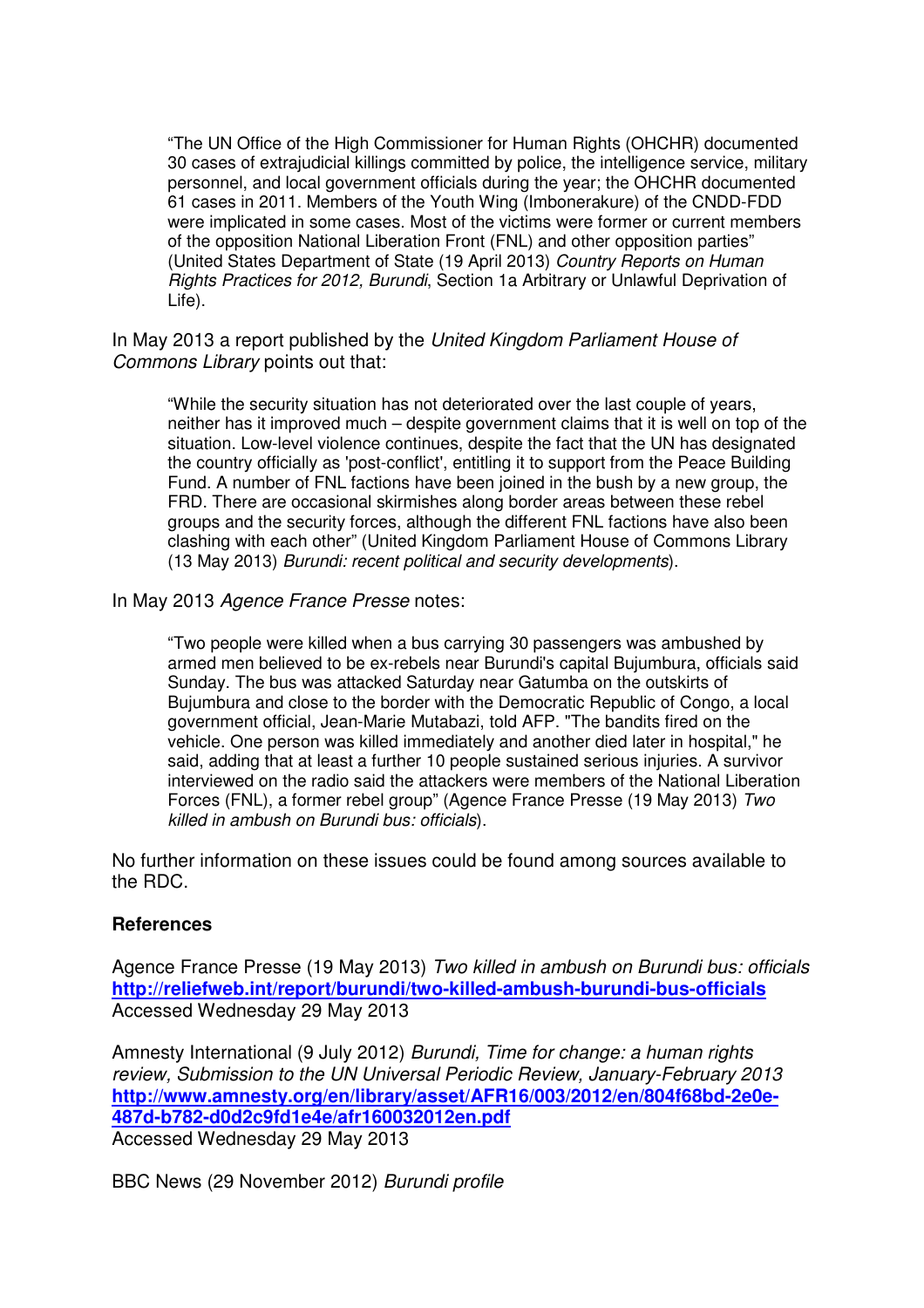"The UN Office of the High Commissioner for Human Rights (OHCHR) documented 30 cases of extrajudicial killings committed by police, the intelligence service, military personnel, and local government officials during the year; the OHCHR documented 61 cases in 2011. Members of the Youth Wing (Imbonerakure) of the CNDD-FDD were implicated in some cases. Most of the victims were former or current members of the opposition National Liberation Front (FNL) and other opposition parties" (United States Department of State (19 April 2013) Country Reports on Human Rights Practices for 2012, Burundi, Section 1a Arbitrary or Unlawful Deprivation of Life).

In May 2013 a report published by the United Kingdom Parliament House of Commons Library points out that:

"While the security situation has not deteriorated over the last couple of years, neither has it improved much – despite government claims that it is well on top of the situation. Low-level violence continues, despite the fact that the UN has designated the country officially as 'post-conflict', entitling it to support from the Peace Building Fund. A number of FNL factions have been joined in the bush by a new group, the FRD. There are occasional skirmishes along border areas between these rebel groups and the security forces, although the different FNL factions have also been clashing with each other" (United Kingdom Parliament House of Commons Library (13 May 2013) Burundi: recent political and security developments).

In May 2013 Agence France Presse notes:

"Two people were killed when a bus carrying 30 passengers was ambushed by armed men believed to be ex-rebels near Burundi's capital Bujumbura, officials said Sunday. The bus was attacked Saturday near Gatumba on the outskirts of Bujumbura and close to the border with the Democratic Republic of Congo, a local government official, Jean-Marie Mutabazi, told AFP. "The bandits fired on the vehicle. One person was killed immediately and another died later in hospital," he said, adding that at least a further 10 people sustained serious injuries. A survivor interviewed on the radio said the attackers were members of the National Liberation Forces (FNL), a former rebel group" (Agence France Presse (19 May 2013) Two killed in ambush on Burundi bus: officials).

No further information on these issues could be found among sources available to the RDC.

## **References**

Agence France Presse (19 May 2013) Two killed in ambush on Burundi bus: officials **http://reliefweb.int/report/burundi/two-killed-ambush-burundi-bus-officials** Accessed Wednesday 29 May 2013

Amnesty International (9 July 2012) Burundi, Time for change: a human rights review, Submission to the UN Universal Periodic Review, January-February 2013 **http://www.amnesty.org/en/library/asset/AFR16/003/2012/en/804f68bd-2e0e-487d-b782-d0d2c9fd1e4e/afr160032012en.pdf** Accessed Wednesday 29 May 2013

BBC News (29 November 2012) Burundi profile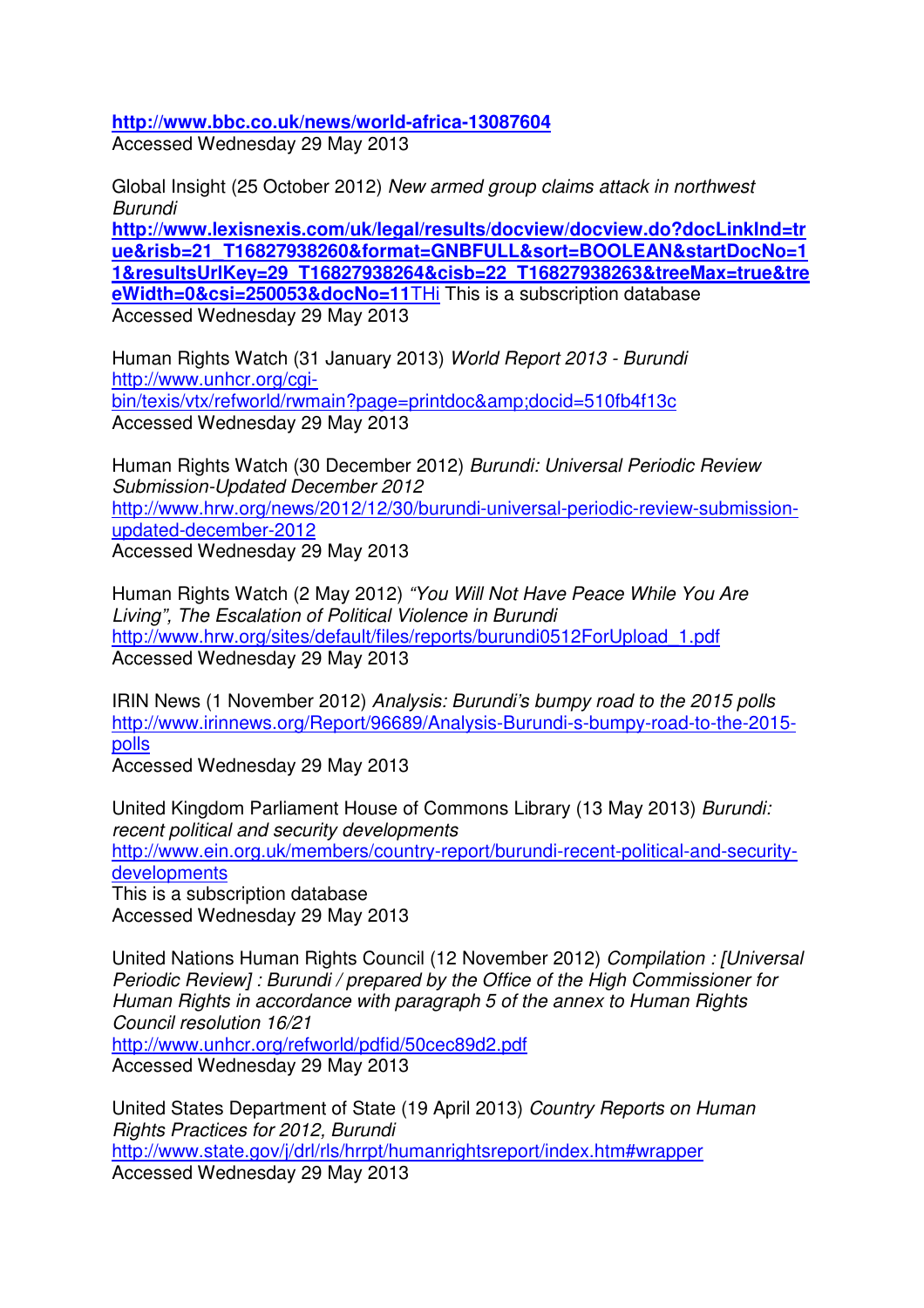**http://www.bbc.co.uk/news/world-africa-13087604**

Accessed Wednesday 29 May 2013

Global Insight (25 October 2012) New armed group claims attack in northwest Burundi

**http://www.lexisnexis.com/uk/legal/results/docview/docview.do?docLinkInd=tr ue&risb=21\_T16827938260&format=GNBFULL&sort=BOOLEAN&startDocNo=1 1&resultsUrlKey=29\_T16827938264&cisb=22\_T16827938263&treeMax=true&tre eWidth=0&csi=250053&docNo=11**THi This is a subscription database Accessed Wednesday 29 May 2013

Human Rights Watch (31 January 2013) World Report 2013 - Burundi http://www.unhcr.org/cgibin/texis/vtx/refworld/rwmain?page=printdoc&amp:docid=510fb4f13c Accessed Wednesday 29 May 2013

Human Rights Watch (30 December 2012) Burundi: Universal Periodic Review Submission-Updated December 2012 http://www.hrw.org/news/2012/12/30/burundi-universal-periodic-review-submissionupdated-december-2012 Accessed Wednesday 29 May 2013

Human Rights Watch (2 May 2012) "You Will Not Have Peace While You Are Living", The Escalation of Political Violence in Burundi http://www.hrw.org/sites/default/files/reports/burundi0512ForUpload\_1.pdf Accessed Wednesday 29 May 2013

IRIN News (1 November 2012) Analysis: Burundi's bumpy road to the 2015 polls http://www.irinnews.org/Report/96689/Analysis-Burundi-s-bumpy-road-to-the-2015 polls

Accessed Wednesday 29 May 2013

United Kingdom Parliament House of Commons Library (13 May 2013) Burundi: recent political and security developments http://www.ein.org.uk/members/country-report/burundi-recent-political-and-securitydevelopments This is a subscription database Accessed Wednesday 29 May 2013

United Nations Human Rights Council (12 November 2012) Compilation : [Universal Periodic Review] : Burundi / prepared by the Office of the High Commissioner for Human Rights in accordance with paragraph 5 of the annex to Human Rights Council resolution 16/21 http://www.unhcr.org/refworld/pdfid/50cec89d2.pdf Accessed Wednesday 29 May 2013

United States Department of State (19 April 2013) Country Reports on Human Rights Practices for 2012, Burundi http://www.state.gov/j/drl/rls/hrrpt/humanrightsreport/index.htm#wrapper Accessed Wednesday 29 May 2013